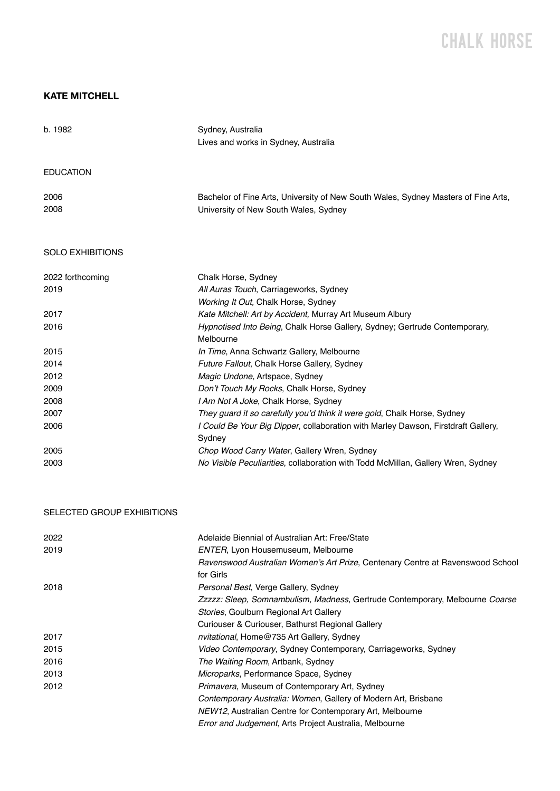# CHALK H0RSE

### **KATE MITCHELL**

| b. 1982                 | Sydney, Australia<br>Lives and works in Sydney, Australia                               |
|-------------------------|-----------------------------------------------------------------------------------------|
| <b>EDUCATION</b>        |                                                                                         |
| 2006                    | Bachelor of Fine Arts, University of New South Wales, Sydney Masters of Fine Arts,      |
| 2008                    | University of New South Wales, Sydney                                                   |
| <b>SOLO EXHIBITIONS</b> |                                                                                         |
| 2022 forthcoming        | Chalk Horse, Sydney                                                                     |
| 2019                    | All Auras Touch, Carriageworks, Sydney                                                  |
|                         | Working It Out, Chalk Horse, Sydney                                                     |
| 2017                    | Kate Mitchell: Art by Accident, Murray Art Museum Albury                                |
| 2016                    | Hypnotised Into Being, Chalk Horse Gallery, Sydney; Gertrude Contemporary,<br>Melbourne |
| 2015                    | In Time, Anna Schwartz Gallery, Melbourne                                               |
| 2014                    | Future Fallout, Chalk Horse Gallery, Sydney                                             |
| 2012                    | Magic Undone, Artspace, Sydney                                                          |
| 2009                    | Don't Touch My Rocks, Chalk Horse, Sydney                                               |
| 2008                    | I Am Not A Joke, Chalk Horse, Sydney                                                    |
| 2007                    | They guard it so carefully you'd think it were gold, Chalk Horse, Sydney                |
| 2006                    | I Could Be Your Big Dipper, collaboration with Marley Dawson, Firstdraft Gallery,       |
|                         | Sydney                                                                                  |
| 2005                    | Chop Wood Carry Water, Gallery Wren, Sydney                                             |
| 2003                    | No Visible Peculiarities, collaboration with Todd McMillan, Gallery Wren, Sydney        |

### SELECTED GROUP EXHIBITIONS

| 2022 | Adelaide Biennial of Australian Art: Free/State                                |
|------|--------------------------------------------------------------------------------|
| 2019 | <b>ENTER, Lyon Housemuseum, Melbourne</b>                                      |
|      | Ravenswood Australian Women's Art Prize, Centenary Centre at Ravenswood School |
|      | for Girls                                                                      |
| 2018 | Personal Best, Verge Gallery, Sydney                                           |
|      | Zzzzz: Sleep, Somnambulism, Madness, Gertrude Contemporary, Melbourne Coarse   |
|      | Stories, Goulburn Regional Art Gallery                                         |
|      | Curiouser & Curiouser, Bathurst Regional Gallery                               |
| 2017 | <i>nvitational</i> , Home@735 Art Gallery, Sydney                              |
| 2015 | Video Contemporary, Sydney Contemporary, Carriageworks, Sydney                 |
| 2016 | The Waiting Room, Artbank, Sydney                                              |
| 2013 | <i>Microparks</i> , Performance Space, Sydney                                  |
| 2012 | <i>Primavera, Museum of Contemporary Art, Sydney</i>                           |
|      | Contemporary Australia: Women, Gallery of Modern Art, Brisbane                 |
|      | NEW12, Australian Centre for Contemporary Art, Melbourne                       |
|      | Error and Judgement, Arts Project Australia, Melbourne                         |